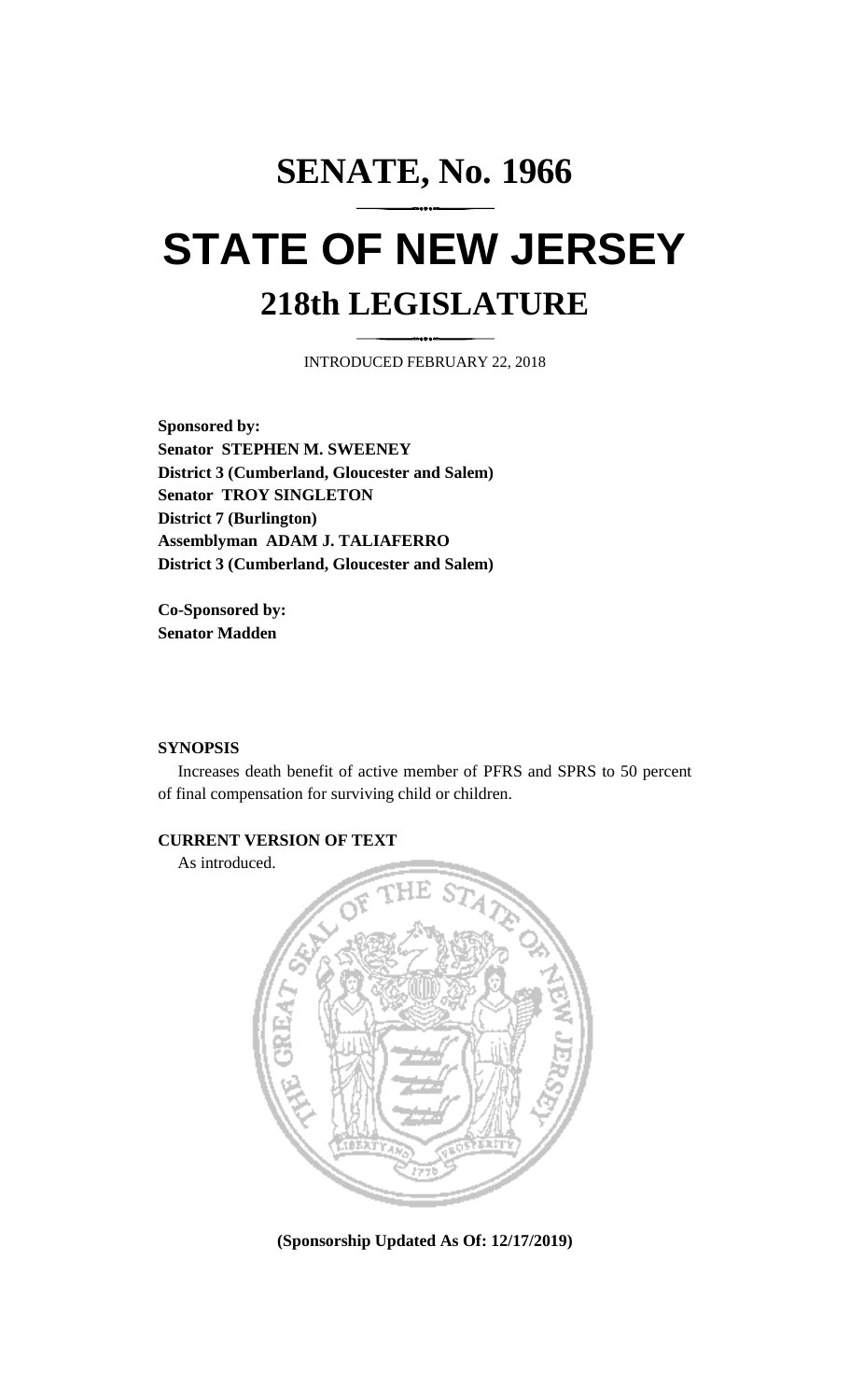# **SENATE, No. 1966 STATE OF NEW JERSEY 218th LEGISLATURE**

INTRODUCED FEBRUARY 22, 2018

**Sponsored by: Senator STEPHEN M. SWEENEY District 3 (Cumberland, Gloucester and Salem) Senator TROY SINGLETON District 7 (Burlington) Assemblyman ADAM J. TALIAFERRO District 3 (Cumberland, Gloucester and Salem)**

**Co-Sponsored by: Senator Madden**

### **SYNOPSIS**

Increases death benefit of active member of PFRS and SPRS to 50 percent of final compensation for surviving child or children.

## **CURRENT VERSION OF TEXT**

As introduced.



**(Sponsorship Updated As Of: 12/17/2019)**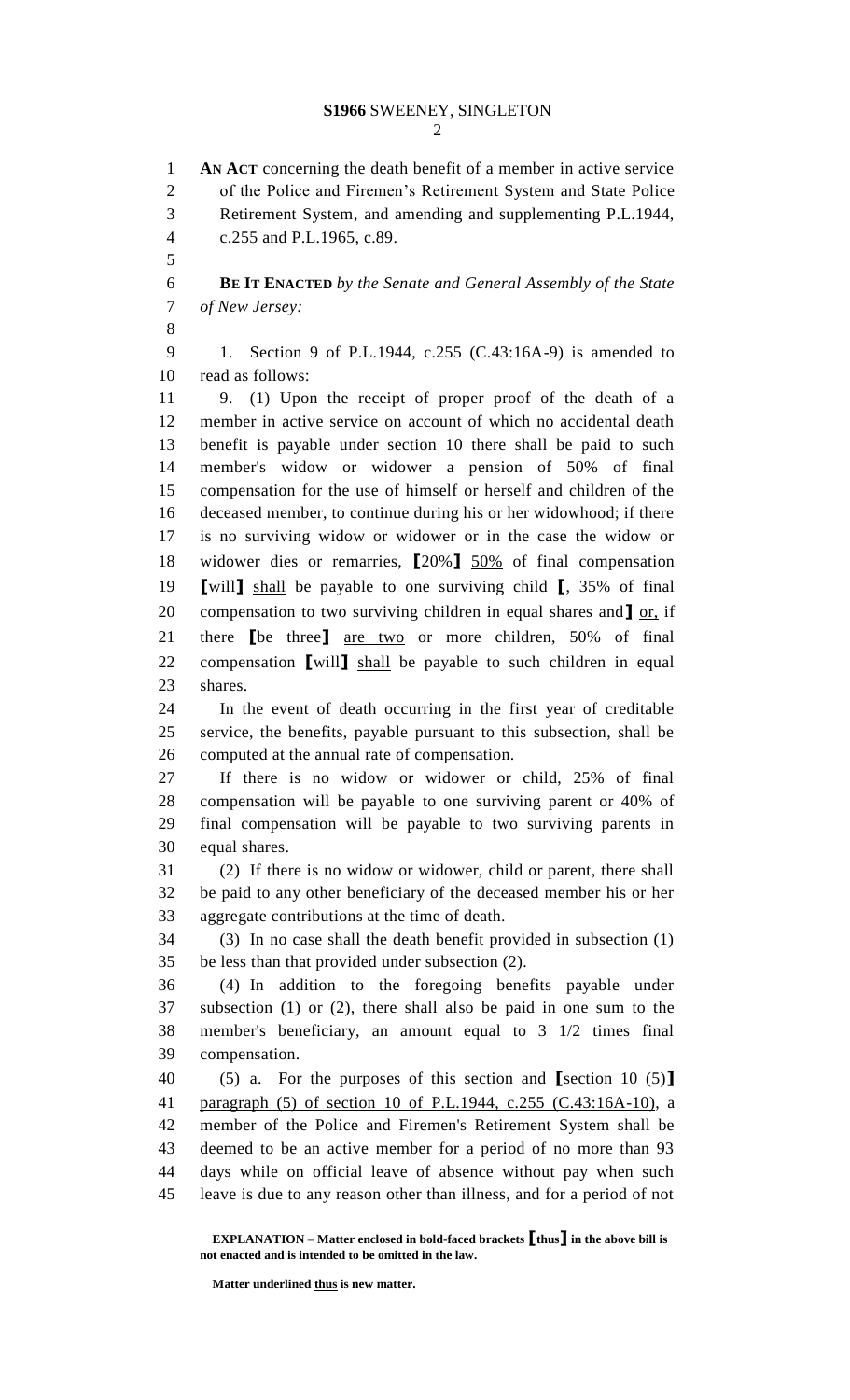**AN ACT** concerning the death benefit of a member in active service of the Police and Firemen's Retirement System and State Police Retirement System, and amending and supplementing P.L.1944, c.255 and P.L.1965, c.89. **BE IT ENACTED** *by the Senate and General Assembly of the State of New Jersey:* 1. Section 9 of P.L.1944, c.255 (C.43:16A-9) is amended to read as follows: 9. (1) Upon the receipt of proper proof of the death of a member in active service on account of which no accidental death benefit is payable under section 10 there shall be paid to such member's widow or widower a pension of 50% of final compensation for the use of himself or herself and children of the deceased member, to continue during his or her widowhood; if there is no surviving widow or widower or in the case the widow or widower dies or remarries, **[**20%**]** 50% of final compensation **[**will**]** shall be payable to one surviving child **[**, 35% of final compensation to two surviving children in equal shares and**]** or, if there **[**be three**]** are two or more children, 50% of final compensation **[**will**]** shall be payable to such children in equal shares. In the event of death occurring in the first year of creditable service, the benefits, payable pursuant to this subsection, shall be computed at the annual rate of compensation. If there is no widow or widower or child, 25% of final compensation will be payable to one surviving parent or 40% of final compensation will be payable to two surviving parents in equal shares. (2) If there is no widow or widower, child or parent, there shall be paid to any other beneficiary of the deceased member his or her aggregate contributions at the time of death. (3) In no case shall the death benefit provided in subsection (1) be less than that provided under subsection (2). (4) In addition to the foregoing benefits payable under subsection (1) or (2), there shall also be paid in one sum to the member's beneficiary, an amount equal to 3 1/2 times final compensation. (5) a. For the purposes of this section and **[**section 10 (5)**]** paragraph (5) of section 10 of P.L.1944, c.255 (C.43:16A-10), a member of the Police and Firemen's Retirement System shall be deemed to be an active member for a period of no more than 93 days while on official leave of absence without pay when such leave is due to any reason other than illness, and for a period of not

**EXPLANATION – Matter enclosed in bold-faced brackets [thus] in the above bill is not enacted and is intended to be omitted in the law.**

**Matter underlined thus is new matter.**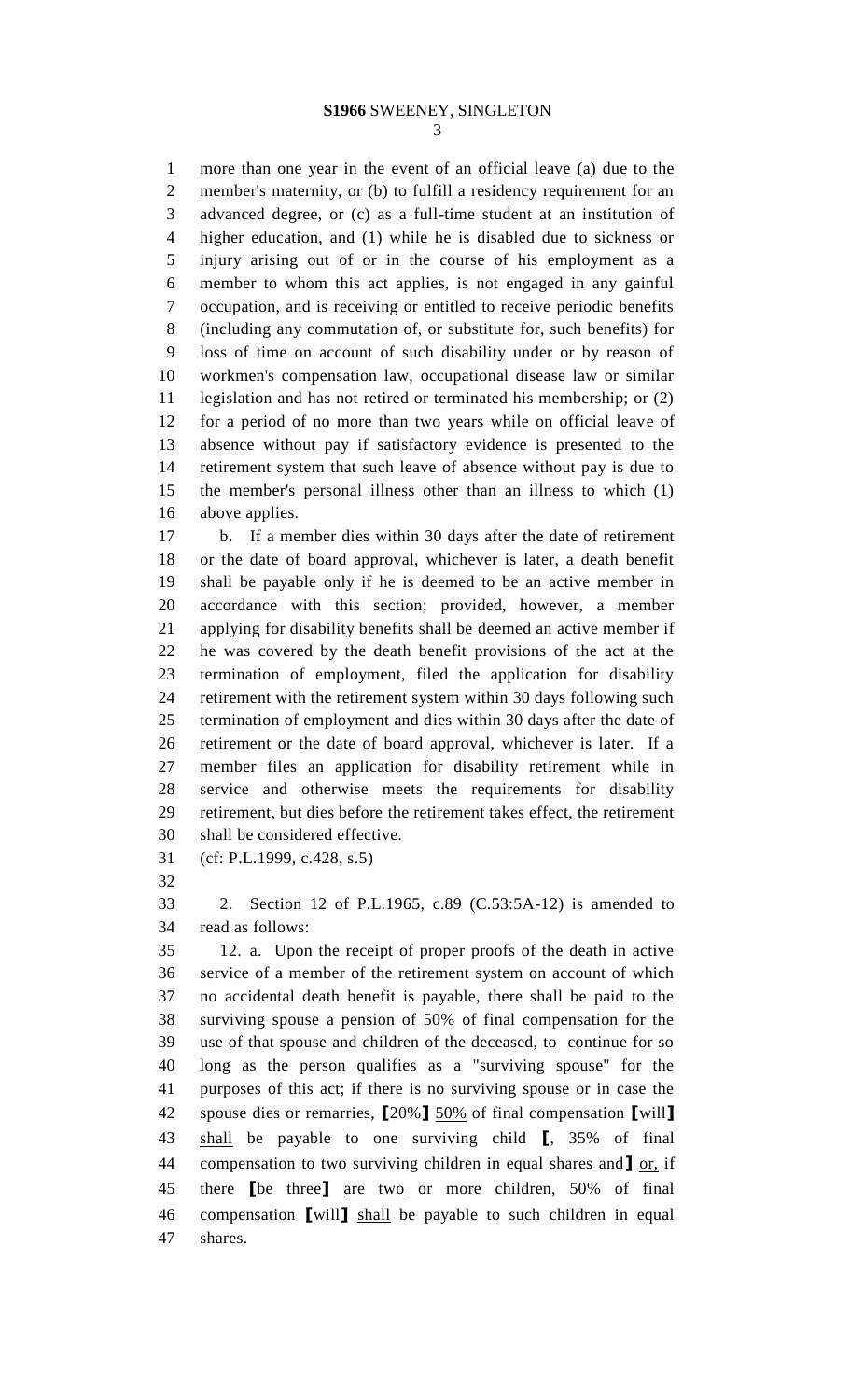# **S1966** SWEENEY, SINGLETON

 more than one year in the event of an official leave (a) due to the member's maternity, or (b) to fulfill a residency requirement for an advanced degree, or (c) as a full-time student at an institution of higher education, and (1) while he is disabled due to sickness or injury arising out of or in the course of his employment as a member to whom this act applies, is not engaged in any gainful occupation, and is receiving or entitled to receive periodic benefits (including any commutation of, or substitute for, such benefits) for loss of time on account of such disability under or by reason of workmen's compensation law, occupational disease law or similar legislation and has not retired or terminated his membership; or (2) for a period of no more than two years while on official leave of absence without pay if satisfactory evidence is presented to the retirement system that such leave of absence without pay is due to the member's personal illness other than an illness to which (1) above applies.

 b. If a member dies within 30 days after the date of retirement or the date of board approval, whichever is later, a death benefit shall be payable only if he is deemed to be an active member in accordance with this section; provided, however, a member applying for disability benefits shall be deemed an active member if he was covered by the death benefit provisions of the act at the termination of employment, filed the application for disability retirement with the retirement system within 30 days following such termination of employment and dies within 30 days after the date of retirement or the date of board approval, whichever is later. If a member files an application for disability retirement while in service and otherwise meets the requirements for disability retirement, but dies before the retirement takes effect, the retirement shall be considered effective.

(cf: P.L.1999, c.428, s.5)

 2. Section 12 of P.L.1965, c.89 (C.53:5A-12) is amended to read as follows:

 12. a. Upon the receipt of proper proofs of the death in active service of a member of the retirement system on account of which no accidental death benefit is payable, there shall be paid to the surviving spouse a pension of 50% of final compensation for the use of that spouse and children of the deceased, to continue for so long as the person qualifies as a "surviving spouse" for the purposes of this act; if there is no surviving spouse or in case the spouse dies or remarries, **[**20%**]** 50% of final compensation **[**will**]** shall be payable to one surviving child **[**, 35% of final compensation to two surviving children in equal shares and**]** or, if there **[**be three**]** are two or more children, 50% of final compensation **[**will**]** shall be payable to such children in equal shares.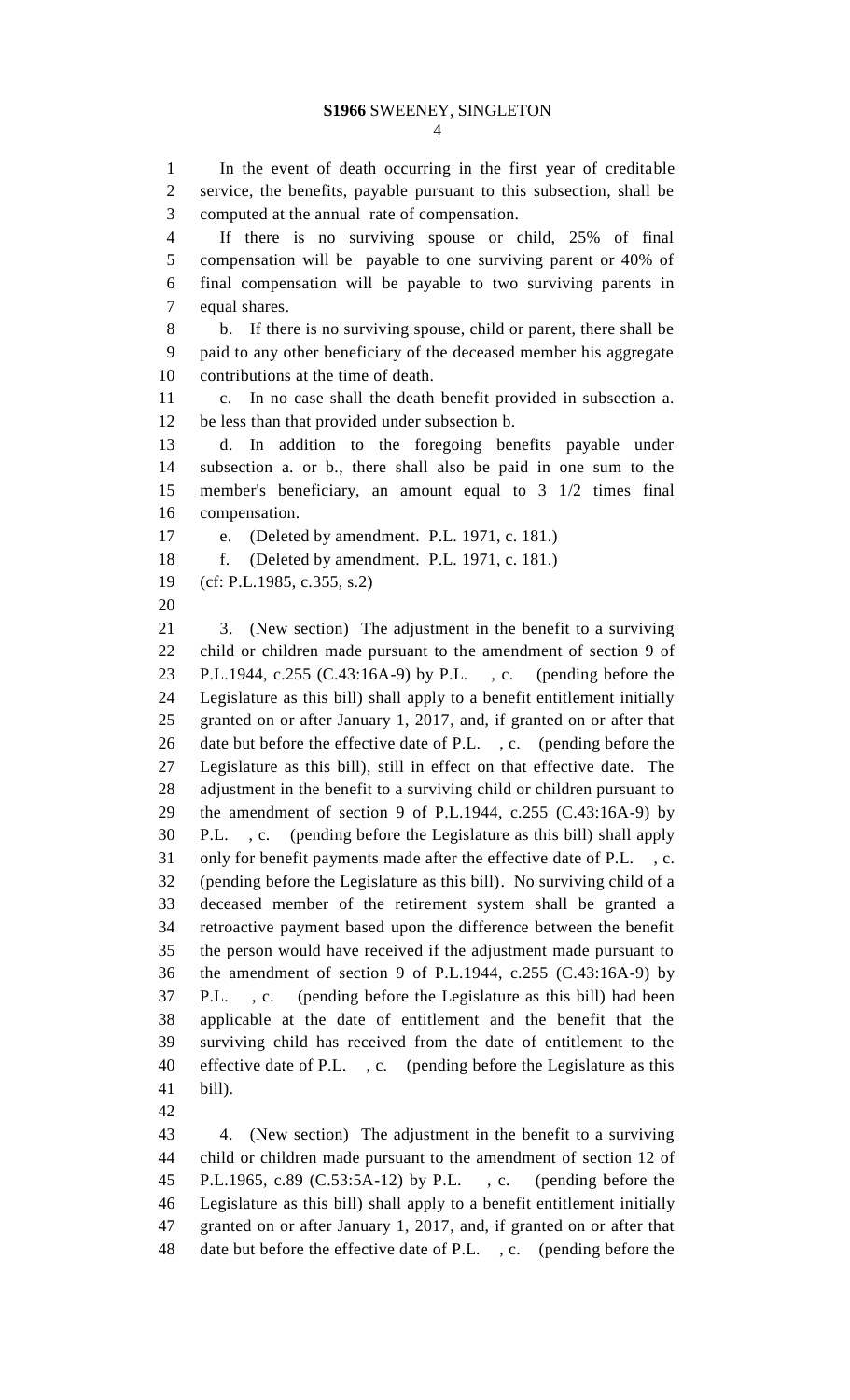## **S1966** SWEENEY, SINGLETON

 In the event of death occurring in the first year of creditable service, the benefits, payable pursuant to this subsection, shall be computed at the annual rate of compensation.

 If there is no surviving spouse or child, 25% of final compensation will be payable to one surviving parent or 40% of final compensation will be payable to two surviving parents in equal shares.

 b. If there is no surviving spouse, child or parent, there shall be paid to any other beneficiary of the deceased member his aggregate contributions at the time of death.

 c. In no case shall the death benefit provided in subsection a. be less than that provided under subsection b.

 d. In addition to the foregoing benefits payable under subsection a. or b., there shall also be paid in one sum to the member's beneficiary, an amount equal to 3 1/2 times final compensation.

e. (Deleted by amendment. P.L. 1971, c. 181.)

f. (Deleted by amendment. P.L. 1971, c. 181.)

(cf: P.L.1985, c.355, s.2)

 3. (New section) The adjustment in the benefit to a surviving child or children made pursuant to the amendment of section 9 of P.L.1944, c.255 (C.43:16A-9) by P.L. , c. (pending before the Legislature as this bill) shall apply to a benefit entitlement initially granted on or after January 1, 2017, and, if granted on or after that 26 date but before the effective date of P.L., c. (pending before the Legislature as this bill), still in effect on that effective date. The adjustment in the benefit to a surviving child or children pursuant to the amendment of section 9 of P.L.1944, c.255 (C.43:16A-9) by P.L. , c. (pending before the Legislature as this bill) shall apply only for benefit payments made after the effective date of P.L. , c. (pending before the Legislature as this bill). No surviving child of a deceased member of the retirement system shall be granted a retroactive payment based upon the difference between the benefit the person would have received if the adjustment made pursuant to the amendment of section 9 of P.L.1944, c.255 (C.43:16A-9) by P.L. , c. (pending before the Legislature as this bill) had been applicable at the date of entitlement and the benefit that the surviving child has received from the date of entitlement to the effective date of P.L. , c. (pending before the Legislature as this bill).

 4. (New section) The adjustment in the benefit to a surviving child or children made pursuant to the amendment of section 12 of P.L.1965, c.89 (C.53:5A-12) by P.L. , c. (pending before the Legislature as this bill) shall apply to a benefit entitlement initially granted on or after January 1, 2017, and, if granted on or after that date but before the effective date of P.L. , c. (pending before the